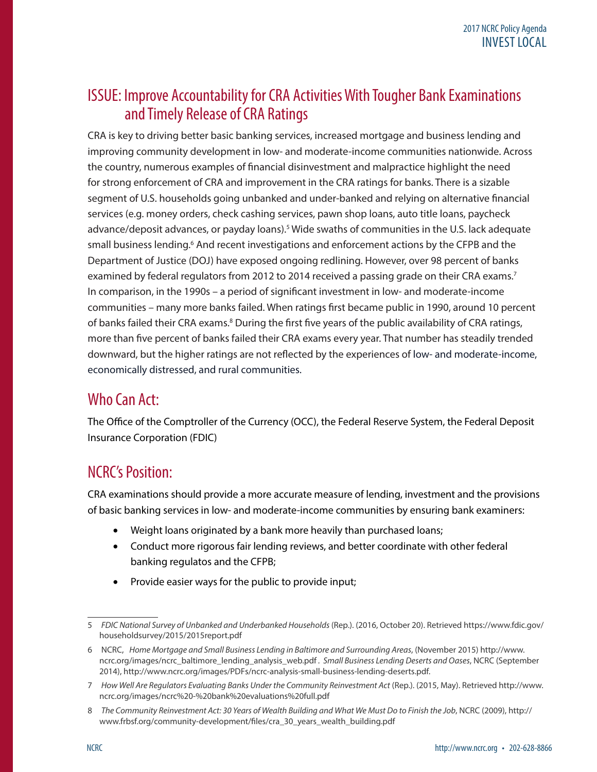## ISSUE: Improve Accountability for CRA Activities With Tougher Bank Examinations and Timely Release of CRA Ratings

CRA is key to driving better basic banking services, increased mortgage and business lending and improving community development in low- and moderate-income communities nationwide. Across the country, numerous examples of financial disinvestment and malpractice highlight the need for strong enforcement of CRA and improvement in the CRA ratings for banks. There is a sizable segment of U.S. households going unbanked and under-banked and relying on alternative financial services (e.g. money orders, check cashing services, pawn shop loans, auto title loans, paycheck advance/deposit advances, or payday loans).<sup>5</sup> Wide swaths of communities in the U.S. lack adequate small business lending.<sup>6</sup> And recent investigations and enforcement actions by the CFPB and the Department of Justice (DOJ) have exposed ongoing redlining. However, over 98 percent of banks examined by federal regulators from 2012 to 2014 received a passing grade on their CRA exams.<sup>7</sup> In comparison, in the 1990s – a period of significant investment in low- and moderate-income communities – many more banks failed. When ratings first became public in 1990, around 10 percent of banks failed their CRA exams.<sup>8</sup> During the first five years of the public availability of CRA ratings, more than five percent of banks failed their CRA exams every year. That number has steadily trended downward, but the higher ratings are not reflected by the experiences of low- and moderate-income, economically distressed, and rural communities.

## Who Can Act:

The Office of the Comptroller of the Currency (OCC), the Federal Reserve System, the Federal Deposit Insurance Corporation (FDIC)

# NCRC's Position:

CRA examinations should provide a more accurate measure of lending, investment and the provisions of basic banking services in low- and moderate-income communities by ensuring bank examiners:

- Weight loans originated by a bank more heavily than purchased loans;
- Conduct more rigorous fair lending reviews, and better coordinate with other federal banking regulatos and the CFPB;
- Provide easier ways for the public to provide input;

<sup>5</sup> *FDIC National Survey of Unbanked and Underbanked Households* (Rep.). (2016, October 20). Retrieved https://www.fdic.gov/ householdsurvey/2015/2015report.pdf

<sup>6</sup> NCRC, *Home Mortgage and Small Business Lending in Baltimore and Surrounding Areas*, (November 2015) http://www. ncrc.org/images/ncrc\_baltimore\_lending\_analysis\_web.pdf *. Small Business Lending Deserts and Oases*, NCRC (September 2014), [http://www.ncrc.org/images/PDFs/ncrc-analysis-small-business-lending-deserts.pdf.](http://www.ncrc.org/images/PDFs/ncrc-analysis-small-business-lending-deserts.pdf)

<sup>7</sup> *How Well Are Regulators Evaluating Banks Under the Community Reinvestment Act* (Rep.). (2015, May). Retrieved http://www. ncrc.org/images/ncrc%20-%20bank%20evaluations%20full.pdf

<sup>8</sup> *The Community Reinvestment Act: 30 Years of Wealth Building and What We Must Do to Finish the Job*, NCRC (2009), http:// www.frbsf.org/community-development/files/cra\_30\_years\_wealth\_building.pdf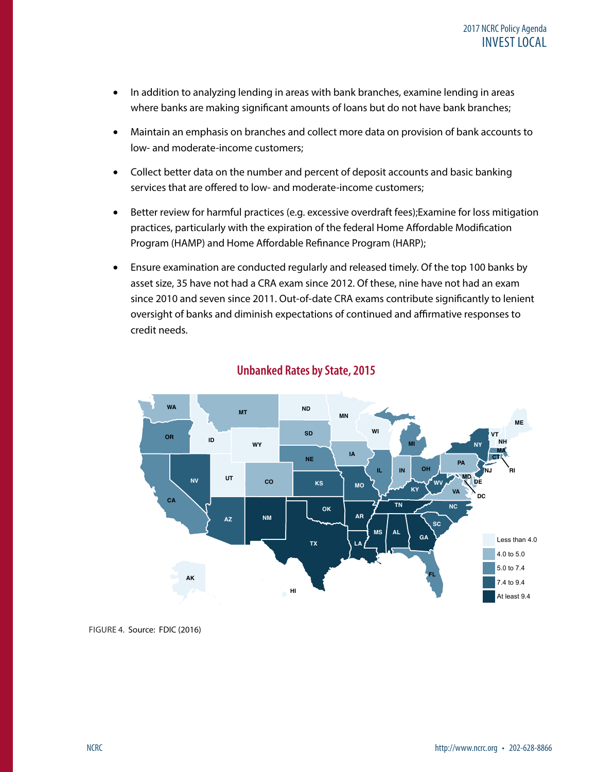- In addition to analyzing lending in areas with bank branches, examine lending in areas where banks are making significant amounts of loans but do not have bank branches;
- Maintain an emphasis on branches and collect more data on provision of bank accounts to low- and moderate-income customers;
- Collect better data on the number and percent of deposit accounts and basic banking services that are offered to low- and moderate-income customers;
- Better review for harmful practices (e.g. excessive overdraft fees); Examine for loss mitigation practices, particularly with the expiration of the federal Home Affordable Modification Program (HAMP) and Home Affordable Refinance Program (HARP);
- Ensure examination are conducted regularly and released timely. Of the top 100 banks by asset size, 35 have not had a CRA exam since 2012. Of these, nine have not had an exam since 2010 and seven since 2011. Out-of-date CRA exams contribute significantly to lenient oversight of banks and diminish expectations of continued and affirmative responses to credit needs.



#### **Unbanked Rates by State, 2015**

FIGURE 4. Source: FDIC (2016)